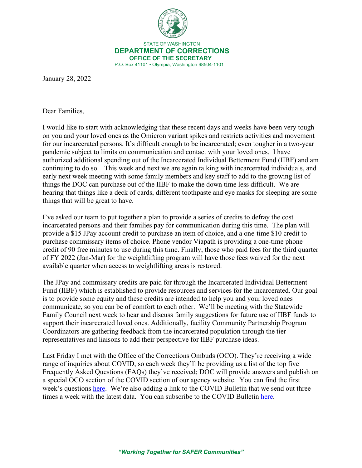

 STATE OF WASHINGTON **DEPARTMENT OF CORRECTIONS OFFICE OF THE SECRETARY** P.O. Box 41101 • Olympia, Washington 98504-1101

January 28, 2022

Dear Families,

I would like to start with acknowledging that these recent days and weeks have been very tough on you and your loved ones as the Omicron variant spikes and restricts activities and movement for our incarcerated persons. It's difficult enough to be incarcerated; even tougher in a two-year pandemic subject to limits on communication and contact with your loved ones. I have authorized additional spending out of the Incarcerated Individual Betterment Fund (IIBF) and am continuing to do so. This week and next we are again talking with incarcerated individuals, and early next week meeting with some family members and key staff to add to the growing list of things the DOC can purchase out of the IIBF to make the down time less difficult. We are hearing that things like a deck of cards, different toothpaste and eye masks for sleeping are some things that will be great to have.

I've asked our team to put together a plan to provide a series of credits to defray the cost incarcerated persons and their families pay for communication during this time. The plan will provide a \$15 JPay account credit to purchase an item of choice, and a one-time \$10 credit to purchase commissary items of choice. Phone vendor Viapath is providing a one-time phone credit of 90 free minutes to use during this time. Finally, those who paid fees for the third quarter of FY 2022 (Jan-Mar) for the weightlifting program will have those fees waived for the next available quarter when access to weightlifting areas is restored.

The JPay and commissary credits are paid for through the Incarcerated Individual Betterment Fund (IIBF) which is established to provide resources and services for the incarcerated. Our goal is to provide some equity and these credits are intended to help you and your loved ones communicate, so you can be of comfort to each other. We'll be meeting with the Statewide Family Council next week to hear and discuss family suggestions for future use of IIBF funds to support their incarcerated loved ones. Additionally, facility Community Partnership Program Coordinators are gathering feedback from the incarcerated population through the tier representatives and liaisons to add their perspective for IIBF purchase ideas.

Last Friday I met with the Office of the Corrections Ombuds (OCO). They're receiving a wide range of inquiries about COVID, so each week they'll be providing us a list of the top five Frequently Asked Questions (FAQs) they've received; DOC will provide answers and publish on a special OCO section of the COVID section of our agency website. You can find the first week's questions [here.](https://doc.wa.gov/corrections/incarceration/ombuds.htm#faq) We're also adding a link to the COVID Bulletin that we send out three times a week with the latest data. You can subscribe to the COVID Bulletin [here.](https://wacorrections.formstack.com/forms/subscription_request)